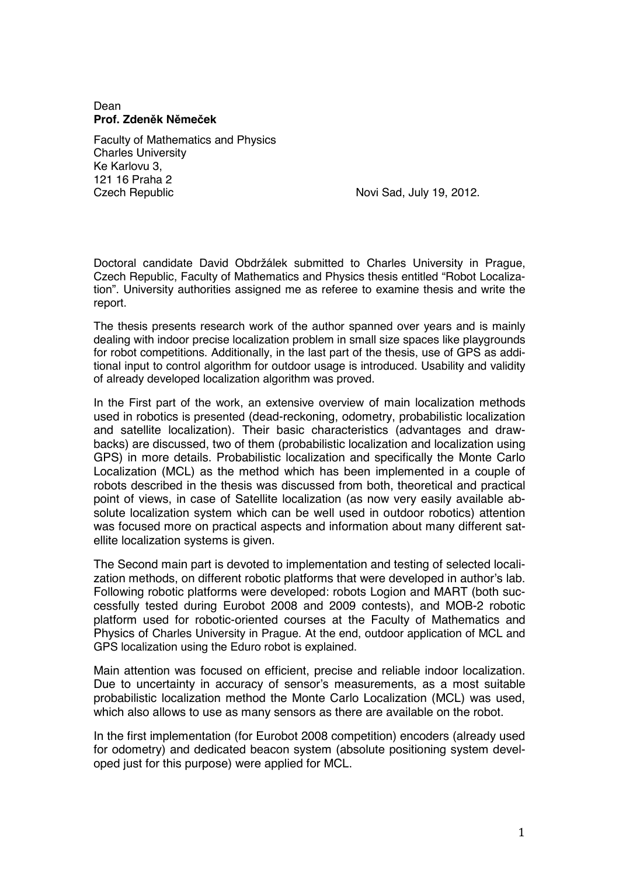## Dean **Prof. Zden!k N!me"ek**

Faculty of Mathematics and Physics Charles University Ke Karlovu 3, 121 16 Praha 2 Czech Republic Novi Sad, July 19, 2012.

Doctoral candidate David Obdržálek submitted to Charles University in Prague, Czech Republic, Faculty of Mathematics and Physics thesis entitled "Robot Localization". University authorities assigned me as referee to examine thesis and write the report.

The thesis presents research work of the author spanned over years and is mainly dealing with indoor precise localization problem in small size spaces like playgrounds for robot competitions. Additionally, in the last part of the thesis, use of GPS as additional input to control algorithm for outdoor usage is introduced. Usability and validity of already developed localization algorithm was proved.

In the First part of the work, an extensive overview of main localization methods used in robotics is presented (dead-reckoning, odometry, probabilistic localization and satellite localization). Their basic characteristics (advantages and drawbacks) are discussed, two of them (probabilistic localization and localization using GPS) in more details. Probabilistic localization and specifically the Monte Carlo Localization (MCL) as the method which has been implemented in a couple of robots described in the thesis was discussed from both, theoretical and practical point of views, in case of Satellite localization (as now very easily available absolute localization system which can be well used in outdoor robotics) attention was focused more on practical aspects and information about many different satellite localization systems is given.

The Second main part is devoted to implementation and testing of selected localization methods, on different robotic platforms that were developed in author's lab. Following robotic platforms were developed: robots Logion and MART (both successfully tested during Eurobot 2008 and 2009 contests), and MOB-2 robotic platform used for robotic-oriented courses at the Faculty of Mathematics and Physics of Charles University in Prague. At the end, outdoor application of MCL and GPS localization using the Eduro robot is explained.

Main attention was focused on efficient, precise and reliable indoor localization. Due to uncertainty in accuracy of sensor's measurements, as a most suitable probabilistic localization method the Monte Carlo Localization (MCL) was used, which also allows to use as many sensors as there are available on the robot.

In the first implementation (for Eurobot 2008 competition) encoders (already used for odometry) and dedicated beacon system (absolute positioning system developed just for this purpose) were applied for MCL.